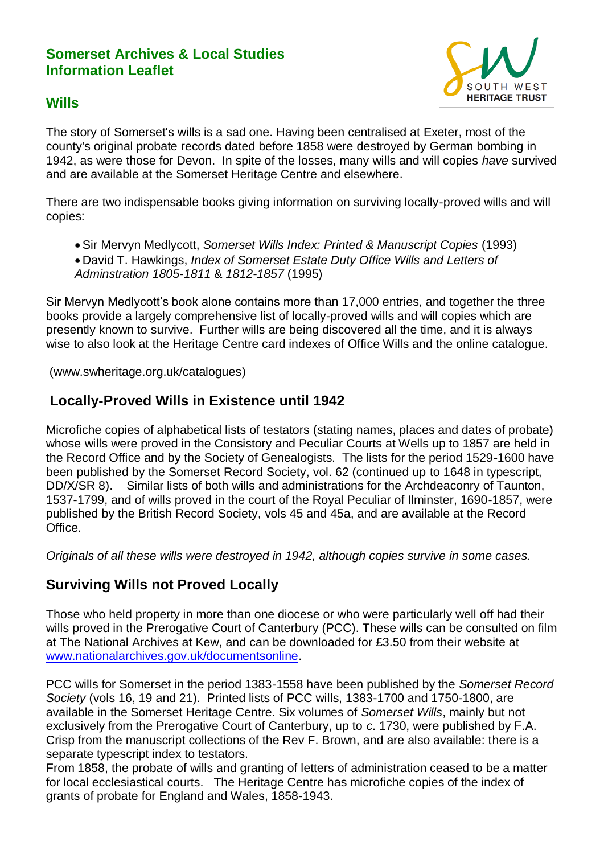## **Somerset Archives & Local Studies Information Leaflet**



## **Wills**

The story of Somerset's wills is a sad one. Having been centralised at Exeter, most of the county's original probate records dated before 1858 were destroyed by German bombing in 1942, as were those for Devon. In spite of the losses, many wills and will copies *have* survived and are available at the Somerset Heritage Centre and elsewhere.

There are two indispensable books giving information on surviving locally-proved wills and will copies:

 Sir Mervyn Medlycott, *Somerset Wills Index: Printed & Manuscript Copies* (1993) David T. Hawkings, *Index of Somerset Estate Duty Office Wills and Letters of Adminstration 1805-1811* & *1812-1857* (1995)

Sir Mervyn Medlycott's book alone contains more than 17,000 entries, and together the three books provide a largely comprehensive list of locally-proved wills and will copies which are presently known to survive. Further wills are being discovered all the time, and it is always wise to also look at the Heritage Centre card indexes of Office Wills and the online catalogue.

(www.swheritage.org.uk/catalogues)

## **Locally-Proved Wills in Existence until 1942**

Microfiche copies of alphabetical lists of testators (stating names, places and dates of probate) whose wills were proved in the Consistory and Peculiar Courts at Wells up to 1857 are held in the Record Office and by the Society of Genealogists. The lists for the period 1529-1600 have been published by the Somerset Record Society, vol. 62 (continued up to 1648 in typescript, DD/X/SR 8). Similar lists of both wills and administrations for the Archdeaconry of Taunton, 1537-1799, and of wills proved in the court of the Royal Peculiar of Ilminster, 1690-1857, were published by the British Record Society, vols 45 and 45a, and are available at the Record Office.

*Originals of all these wills were destroyed in 1942, although copies survive in some cases.*

# **Surviving Wills not Proved Locally**

Those who held property in more than one diocese or who were particularly well off had their wills proved in the Prerogative Court of Canterbury (PCC). These wills can be consulted on film at The National Archives at Kew, and can be downloaded for £3.50 from their website at [www.nationalarchives.gov.uk/documentsonline.](http://www.nationalarchives.gov.uk/documentsonline)

PCC wills for Somerset in the period 1383-1558 have been published by the *Somerset Record Society* (vols 16, 19 and 21). Printed lists of PCC wills, 1383-1700 and 1750-1800, are available in the Somerset Heritage Centre. Six volumes of *Somerset Wills*, mainly but not exclusively from the Prerogative Court of Canterbury, up to *c*. 1730, were published by F.A. Crisp from the manuscript collections of the Rev F. Brown, and are also available: there is a separate typescript index to testators.

From 1858, the probate of wills and granting of letters of administration ceased to be a matter for local ecclesiastical courts. The Heritage Centre has microfiche copies of the index of grants of probate for England and Wales, 1858-1943.